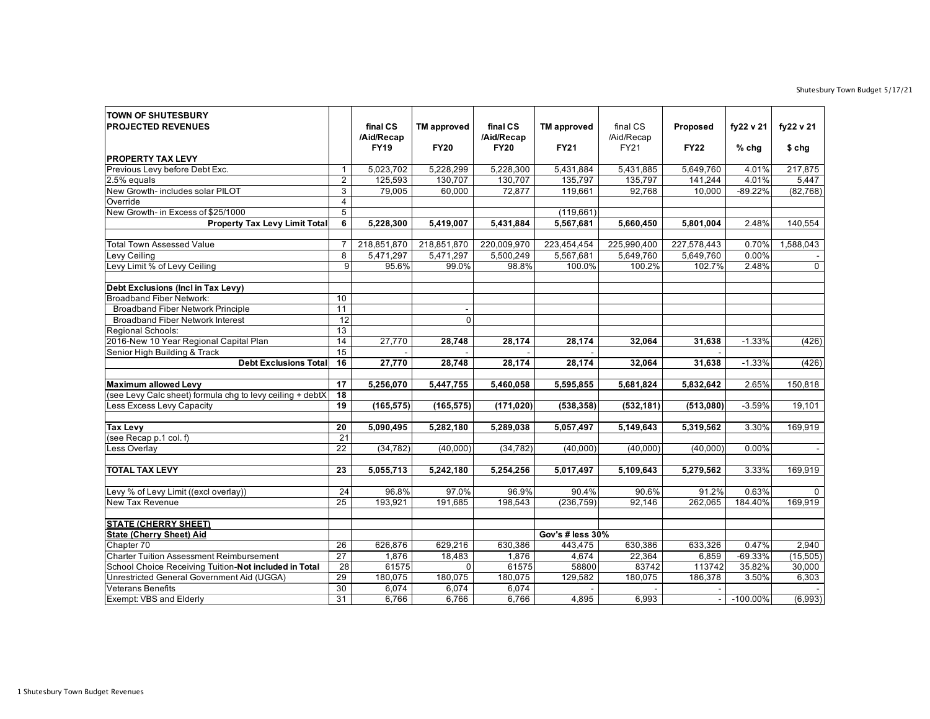## Shutesbury Town Budget 5/17/21

| <b>TOWN OF SHUTESBURY</b><br><b>PROJECTED REVENUES</b>                      |                       | final CS                  | <b>TM</b> approved | final CS                  | <b>TM</b> approved | final CS           | Proposed    | fy22 v 21   | fy22 v 21   |
|-----------------------------------------------------------------------------|-----------------------|---------------------------|--------------------|---------------------------|--------------------|--------------------|-------------|-------------|-------------|
|                                                                             |                       | /Aid/Recap<br><b>FY19</b> | <b>FY20</b>        | /Aid/Recap<br><b>FY20</b> | <b>FY21</b>        | /Aid/Recap<br>FY21 | <b>FY22</b> | $%$ chg     | $$$ chg     |
| <b>PROPERTY TAX LEVY</b>                                                    |                       |                           |                    |                           |                    |                    |             |             |             |
| Previous Levy before Debt Exc.                                              | $\mathbf{1}$          | 5,023,702                 | 5,228,299          | 5,228,300                 | 5,431,884          | 5,431,885          | 5.649.760   | 4.01%       | 217,875     |
| 2.5% equals                                                                 | $\overline{2}$        | 125,593                   | 130,707            | 130,707                   | 135,797            | 135,797            | 141,244     | 4.01%       | 5,447       |
| New Growth- includes solar PILOT                                            | $\overline{3}$        | 79.005                    | 60.000             | 72.877                    | 119.661            | 92.768             | 10.000      | $-89.22%$   | (82, 768)   |
| Override                                                                    | $\overline{4}$        |                           |                    |                           |                    |                    |             |             |             |
| New Growth- in Excess of \$25/1000                                          | $\overline{5}$        |                           |                    |                           | (119,661)          |                    |             |             |             |
| <b>Property Tax Levy Limit Total</b>                                        | 6                     | 5,228,300                 | 5,419,007          | 5,431,884                 | 5,567,681          | 5,660,450          | 5,801,004   | 2.48%       | 140,554     |
|                                                                             |                       |                           |                    |                           |                    |                    |             |             |             |
| Total Town Assessed Value                                                   | $\overline{7}$        | 218,851,870               | 218,851,870        | 220,009,970               | 223,454,454        | 225,990,400        | 227,578,443 | 0.70%       | 1,588,043   |
| Levy Ceiling                                                                | $\overline{8}$        | 5,471,297                 | 5,471,297          | 5,500,249                 | 5,567,681          | 5,649,760          | 5,649,760   | 0.00%       |             |
| Levy Limit % of Levy Ceiling                                                | $\overline{9}$        | 95.6%                     | 99.0%              | 98.8%                     | 100.0%             | 100.2%             | 102.7%      | 2.48%       | $\mathbf 0$ |
|                                                                             |                       |                           |                    |                           |                    |                    |             |             |             |
| Debt Exclusions (Incl in Tax Levy)                                          | $\overline{10}$       |                           |                    |                           |                    |                    |             |             |             |
| <b>Broadband Fiber Network:</b><br><b>Broadband Fiber Network Principle</b> |                       |                           |                    |                           |                    |                    |             |             |             |
|                                                                             | 11<br>$\overline{12}$ |                           | $\Omega$           |                           |                    |                    |             |             |             |
| <b>Broadband Fiber Network Interest</b><br>Regional Schools:                | 13                    |                           |                    |                           |                    |                    |             |             |             |
| 2016-New 10 Year Regional Capital Plan                                      | 14                    | 27,770                    | 28,748             | 28,174                    | 28,174             | 32,064             | 31,638      | $-1.33%$    | (426)       |
| Senior High Building & Track                                                | $\overline{15}$       |                           |                    |                           |                    |                    |             |             |             |
| <b>Debt Exclusions Total</b>                                                | 16                    | 27,770                    | 28,748             | 28,174                    | 28,174             | 32,064             | 31,638      | $-1.33%$    | (426)       |
|                                                                             |                       |                           |                    |                           |                    |                    |             |             |             |
| <b>Maximum allowed Levy</b>                                                 | 17                    | 5,256,070                 | 5,447,755          | 5,460,058                 | 5,595,855          | 5,681,824          | 5,832,642   | 2.65%       | 150,818     |
| (see Levy Calc sheet) formula chg to levy ceiling + debtX                   | $\overline{18}$       |                           |                    |                           |                    |                    |             |             |             |
| Less Excess Levy Capacity                                                   | 19                    | (165, 575)                | (165, 575)         | (171, 020)                | (538, 358)         | (532, 181)         | (513,080)   | $-3.59%$    | 19,101      |
|                                                                             |                       |                           |                    |                           |                    |                    |             |             |             |
| <b>Tax Levy</b>                                                             | 20                    | 5,090,495                 | 5,282,180          | 5,289,038                 | 5,057,497          | 5,149,643          | 5,319,562   | 3.30%       | 169,919     |
| (see Recap p.1 col. f)                                                      | $\overline{21}$       |                           |                    |                           |                    |                    |             |             |             |
| Less Overlay                                                                | $\overline{22}$       | (34, 782)                 | (40,000)           | (34, 782)                 | (40,000)           | (40,000)           | (40,000)    | 0.00%       |             |
|                                                                             |                       |                           |                    |                           |                    |                    |             |             |             |
| <b>TOTAL TAX LEVY</b>                                                       | 23                    | 5,055,713                 | 5,242,180          | 5,254,256                 | 5,017,497          | 5,109,643          | 5,279,562   | 3.33%       | 169,919     |
| Levy % of Levy Limit ((excl overlay))                                       | 24                    | 96.8%                     | 97.0%              | 96.9%                     | 90.4%              | 90.6%              | 91.2%       | 0.63%       | $\Omega$    |
| New Tax Revenue                                                             | 25                    | 193,921                   | 191,685            | 198,543                   | (236, 759)         | 92,146             | 262,065     | 184.40%     | 169,919     |
|                                                                             |                       |                           |                    |                           |                    |                    |             |             |             |
| <b>STATE (CHERRY SHEET)</b>                                                 |                       |                           |                    |                           |                    |                    |             |             |             |
| <b>State (Cherry Sheet) Aid</b>                                             |                       |                           |                    |                           | Gov's # less 30%   |                    |             |             |             |
| Chapter 70                                                                  | 26                    | 626,876                   | 629,216            | 630,386                   | 443,475            | 630,386            | 633,326     | 0.47%       | 2,940       |
| <b>Charter Tuition Assessment Reimbursement</b>                             | 27                    | 1,876                     | 18,483             | 1,876                     | 4,674              | 22,364             | 6,859       | $-69.33%$   | (15, 505)   |
| School Choice Receiving Tuition-Not included in Total                       | 28                    | 61575                     | $\Omega$           | 61575                     | 58800              | 83742              | 113742      | 35.82%      | 30,000      |
| Unrestricted General Government Aid (UGGA)                                  | 29                    | 180,075                   | 180,075            | 180,075                   | 129,582            | 180,075            | 186,378     | 3.50%       | 6,303       |
| <b>Veterans Benefits</b>                                                    | 30                    | 6,074                     | 6,074              | 6,074                     |                    |                    |             |             |             |
| Exempt: VBS and Elderly                                                     | 31                    | 6,766                     | 6,766              | 6,766                     | 4,895              | 6,993              |             | $-100.00\%$ | (6,993)     |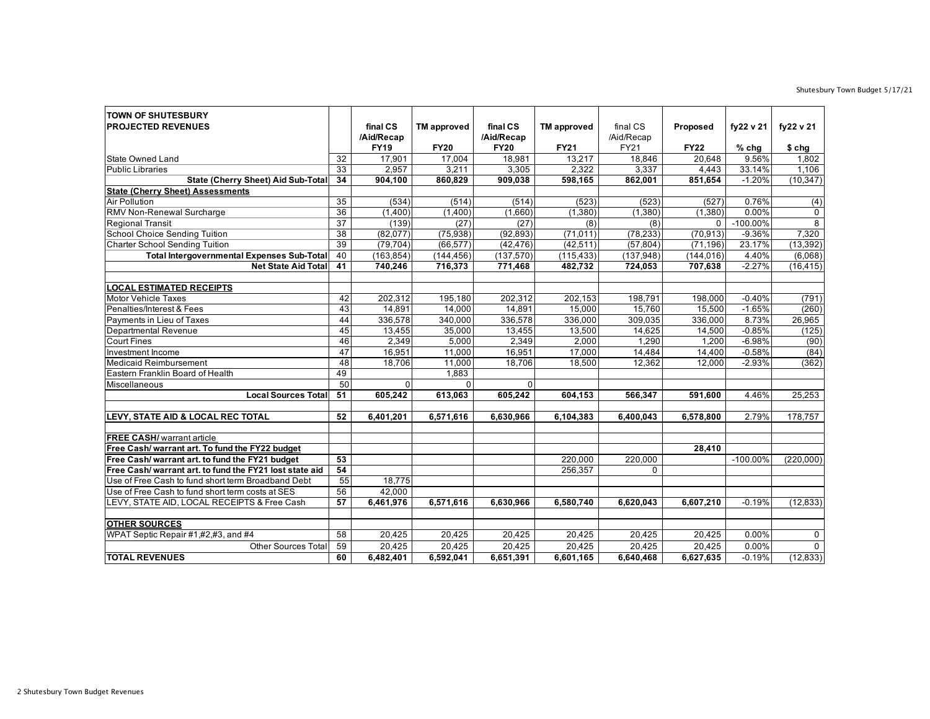## Shutesbury Town Budget 5/17/21

| <b>TOWN OF SHUTESBURY</b>                               |                 |             |                    |             |                    |             |             |             |                |
|---------------------------------------------------------|-----------------|-------------|--------------------|-------------|--------------------|-------------|-------------|-------------|----------------|
| <b>PROJECTED REVENUES</b>                               |                 | final CS    | <b>TM</b> approved | final CS    | <b>TM</b> approved | final CS    | Proposed    | fy22 v 21   | fy22 v 21      |
|                                                         |                 | /Aid/Recap  |                    | /Aid/Recap  |                    | /Aid/Recap  |             |             |                |
|                                                         |                 | <b>FY19</b> | <b>FY20</b>        | <b>FY20</b> | <b>FY21</b>        | <b>FY21</b> | <b>FY22</b> | $%$ chg     | \$ chg         |
| <b>State Owned Land</b>                                 | 32              | 17,901      | 17,004             | 18,981      | 13,217             | 18,846      | 20.648      | 9.56%       | 1,802          |
| <b>Public Libraries</b>                                 | $\overline{33}$ | 2,957       | 3,211              | 3,305       | 2,322              | 3,337       | 4,443       | 33.14%      | 1,106          |
| <b>State (Cherry Sheet) Aid Sub-Total</b>               | 34              | 904,100     | 860,829            | 909,038     | 598,165            | 862,001     | 851,654     | $-1.20%$    | (10, 347)      |
| <b>State (Cherry Sheet) Assessments</b>                 |                 |             |                    |             |                    |             |             |             |                |
| <b>Air Pollution</b>                                    | 35              | (534)       | (514)              | (514)       | (523)              | (523)       | (527)       | 0.76%       | (4)            |
| RMV Non-Renewal Surcharge                               | $\overline{36}$ | (1,400)     | (1,400)            | (1,660)     | (1,380)            | (1, 380)    | (1,380)     | 0.00%       | 0              |
| <b>Regional Transit</b>                                 | $\overline{37}$ | (139)       | (27)               | (27)        | (8)                | (8)         | 0           | $-100.00\%$ | $\overline{8}$ |
| <b>School Choice Sending Tuition</b>                    | 38              | (82,077)    | (75, 938)          | (92, 893)   | (71, 011)          | (78, 233)   | (70, 913)   | $-9.36%$    | 7,320          |
| <b>Charter School Sending Tuition</b>                   | 39              | (79, 704)   | (66, 577)          | (42, 476)   | (42, 511)          | (57, 804)   | (71, 196)   | 23.17%      | (13, 392)      |
| <b>Total Intergovernmental Expenses Sub-Total</b>       | 40              | (163, 854)  | (144, 456)         | (137,570)   | (115, 433)         | (137, 948)  | (144, 016)  | 4.40%       | (6,068)        |
| <b>Net State Aid Total</b>                              | 41              | 740,246     | 716,373            | 771,468     | 482,732            | 724,053     | 707,638     | $-2.27%$    | (16, 415)      |
| <b>LOCAL ESTIMATED RECEIPTS</b>                         |                 |             |                    |             |                    |             |             |             |                |
| <b>Motor Vehicle Taxes</b>                              | 42              | 202,312     | 195,180            | 202,312     | 202,153            | 198,791     | 198,000     | $-0.40%$    | (791)          |
| Penalties/Interest & Fees                               | 43              | 14.891      | 14,000             | 14,891      | 15.000             | 15.760      | 15.500      | $-1.65%$    | (260)          |
| Payments in Lieu of Taxes                               | 44              | 336,578     | 340,000            | 336,578     | 336,000            | 309,035     | 336,000     | 8.73%       | 26,965         |
| <b>Departmental Revenue</b>                             | 45              | 13,455      | 35,000             | 13,455      | 13,500             | 14,625      | 14,500      | $-0.85%$    | (125)          |
| <b>Court Fines</b>                                      | 46              | 2,349       | 5,000              | 2,349       | 2,000              | 1,290       | 1,200       | $-6.98%$    | (90)           |
| Investment Income                                       | 47              | 16,951      | 11,000             | 16,951      | 17,000             | 14,484      | 14,400      | $-0.58%$    | (84)           |
| <b>Medicaid Reimbursement</b>                           | 48              | 18,706      | 11,000             | 18,706      | 18,500             | 12,362      | 12,000      | $-2.93%$    | (362)          |
| Eastern Franklin Board of Health                        | 49              |             | 1,883              |             |                    |             |             |             |                |
| Miscellaneous                                           | 50              | $\Omega$    | $\Omega$           | $\mathbf 0$ |                    |             |             |             |                |
| Local Sources Total                                     | 51              | 605,242     | 613,063            | 605,242     | 604,153            | 566,347     | 591,600     | 4.46%       | 25,253         |
|                                                         |                 |             |                    |             |                    |             |             |             |                |
| LEVY, STATE AID & LOCAL REC TOTAL                       | 52              | 6,401,201   | 6,571,616          | 6,630,966   | 6,104,383          | 6,400,043   | 6,578,800   | 2.79%       | 178,757        |
| <b>FREE CASH/</b> warrant article                       |                 |             |                    |             |                    |             |             |             |                |
| Free Cash/ warrant art. To fund the FY22 budget         |                 |             |                    |             |                    |             | 28,410      |             |                |
| Free Cash/ warrant art. to fund the FY21 budget         | $\overline{53}$ |             |                    |             | 220,000            | 220,000     |             | $-100.00\%$ | (220,000)      |
| Free Cash/ warrant art, to fund the FY21 lost state aid | 54              |             |                    |             | 256,357            | 0           |             |             |                |
| Use of Free Cash to fund short term Broadband Debt      | 55              | 18,775      |                    |             |                    |             |             |             |                |
| Use of Free Cash to fund short term costs at SES        | 56              | 42.000      |                    |             |                    |             |             |             |                |
| LEVY, STATE AID, LOCAL RECEIPTS & Free Cash             | 57              | 6,461,976   | 6,571,616          | 6,630,966   | 6,580,740          | 6,620,043   | 6,607,210   | $-0.19%$    | (12, 833)      |
|                                                         |                 |             |                    |             |                    |             |             |             |                |
| <b>OTHER SOURCES</b>                                    |                 |             |                    |             |                    |             |             |             |                |
| WPAT Septic Repair #1,#2,#3, and #4                     | 58              | 20,425      | 20,425             | 20,425      | 20,425             | 20,425      | 20,425      | 0.00%       | 0              |
| <b>Other Sources Total</b>                              | 59              | 20,425      | 20,425             | 20,425      | 20,425             | 20,425      | 20,425      | 0.00%       | $\mathbf{0}$   |
| <b>TOTAL REVENUES</b>                                   | 60              | 6,482,401   | 6,592,041          | 6,651,391   | 6,601,165          | 6,640,468   | 6,627,635   | $-0.19%$    | (12, 833)      |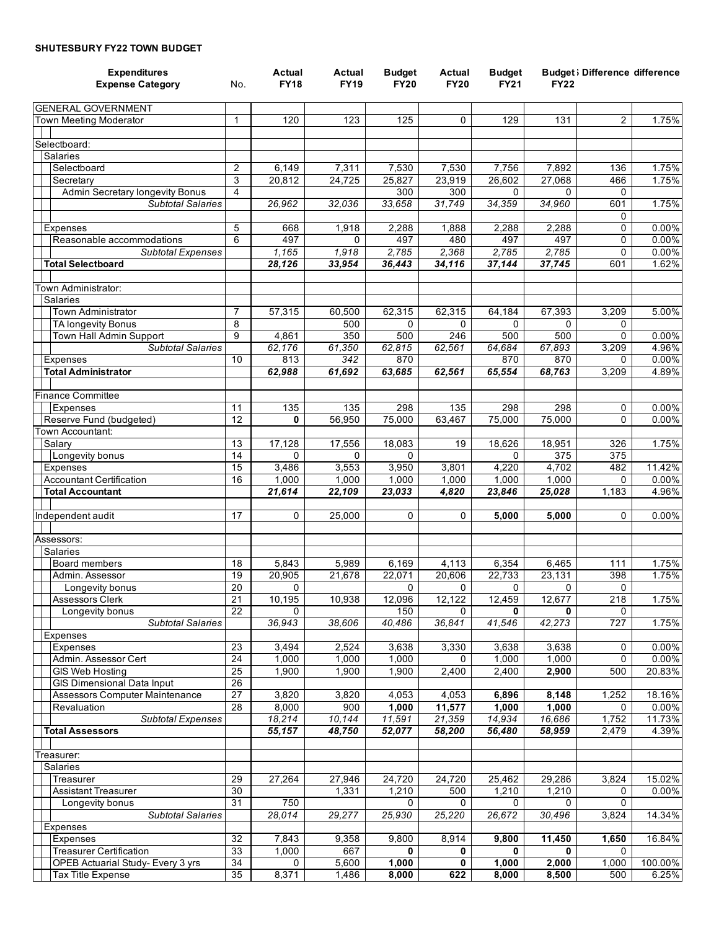## **SHUTESBURY FY22 TOWN BUDGET**

| <b>Expenditures</b><br><b>Expense Category</b> | No.                   | Actual<br><b>FY18</b> | Actual<br><b>FY19</b> | <b>Budget</b><br><b>FY20</b> | Actual<br><b>FY20</b> | <b>Budget</b><br><b>FY21</b> | <b>FY22</b>     | <b>Budget</b> ; Difference difference |                    |
|------------------------------------------------|-----------------------|-----------------------|-----------------------|------------------------------|-----------------------|------------------------------|-----------------|---------------------------------------|--------------------|
|                                                |                       |                       |                       |                              |                       |                              |                 |                                       |                    |
| <b>GENERAL GOVERNMENT</b>                      |                       |                       |                       |                              |                       |                              |                 |                                       |                    |
| Town Meeting Moderator                         | 1                     | 120                   | 123                   | 125                          | 0                     | 129                          | 131             | $\overline{2}$                        | 1.75%              |
|                                                |                       |                       |                       |                              |                       |                              |                 |                                       |                    |
| Selectboard:                                   |                       |                       |                       |                              |                       |                              |                 |                                       |                    |
| Salaries<br>Selectboard                        | $\overline{2}$        | 6,149                 | 7,311                 | 7,530                        | 7,530                 | 7,756                        | 7,892           | 136                                   | 1.75%              |
| Secretary                                      | 3                     | 20,812                | 24,725                | 25,827                       | 23,919                | 26,602                       | 27,068          | 466                                   | 1.75%              |
| Admin Secretary longevity Bonus                | 4                     |                       |                       | 300                          | 300                   | 0                            | 0               | 0                                     |                    |
| <b>Subtotal Salaries</b>                       |                       | 26,962                | 32,036                | 33,658                       | 31,749                | 34,359                       | 34,960          | 601                                   | 1.75%              |
|                                                |                       |                       |                       |                              |                       |                              |                 | 0                                     |                    |
| <b>Expenses</b>                                | 5                     | 668                   | 1,918                 | 2,288                        | 1,888                 | 2,288                        | 2,288           | 0                                     | 0.00%              |
| Reasonable accommodations                      | 6                     | 497                   | $\Omega$              | 497                          | 480                   | 497                          | 497             | 0                                     | 0.00%              |
| <b>Subtotal Expenses</b>                       |                       | 1,165                 | 1,918                 | 2,785                        | 2,368                 | 2,785                        | 2,785           | 0                                     | 0.00%              |
| <b>Total Selectboard</b>                       |                       | 28,126                | 33,954                | 36,443                       | 34,116                | 37,144                       | 37,745          | 601                                   | 1.62%              |
| Town Administrator:                            |                       |                       |                       |                              |                       |                              |                 |                                       |                    |
| <b>Salaries</b>                                |                       |                       |                       |                              |                       |                              |                 |                                       |                    |
| Town Administrator                             | $\overline{7}$        | 57,315                | 60,500                | 62,315                       | 62,315                | 64,184                       | 67,393          | 3,209                                 | 5.00%              |
| TA longevity Bonus                             | 8                     |                       | 500                   | $\Omega$                     | 0                     | $\Omega$                     | $\Omega$        | 0                                     |                    |
| Town Hall Admin Support                        | 9                     | 4,861                 | 350                   | 500                          | 246                   | 500                          | 500             | $\Omega$                              | 0.00%              |
| <b>Subtotal Salaries</b>                       |                       | 62,176                | 61,350                | 62,815                       | 62,561                | 64,684                       | 67,893          | 3,209                                 | 4.96%              |
| Expenses                                       | 10                    | 813                   | 342                   | 870                          |                       | 870                          | 870             | 0                                     | $0.00\%$           |
| <b>Total Administrator</b>                     |                       | 62,988                | 61,692                | 63,685                       | 62,561                | 65,554                       | 68,763          | 3,209                                 | 4.89%              |
|                                                |                       |                       |                       |                              |                       |                              |                 |                                       |                    |
| <b>Finance Committee</b>                       | 11                    | 135                   | 135                   | 298                          | 135                   | 298                          | 298             | 0                                     | $0.00\%$           |
| <b>Expenses</b><br>Reserve Fund (budgeted)     | 12                    | 0                     | 56,950                | 75,000                       | 63,467                | 75,000                       | 75,000          | 0                                     | 0.00%              |
| Town Accountant:                               |                       |                       |                       |                              |                       |                              |                 |                                       |                    |
| Salary                                         | 13                    | 17,128                | 17,556                | 18,083                       | 19                    | 18,626                       | 18,951          | 326                                   | 1.75%              |
| Longevity bonus                                | 14                    | $\Omega$              | $\Omega$              | $\Omega$                     |                       | $\mathbf{0}$                 | 375             | 375                                   |                    |
| <b>Expenses</b>                                | 15                    | 3,486                 | 3,553                 | 3,950                        | 3,801                 | 4,220                        | 4,702           | 482                                   | 11.42%             |
| <b>Accountant Certification</b>                | 16                    | 1,000                 | 1,000                 | 1,000                        | 1,000                 | 1,000                        | 1,000           | 0                                     | 0.00%              |
| <b>Total Accountant</b>                        |                       | 21,614                | 22,109                | 23,033                       | 4,820                 | 23,846                       | 25,028          | 1,183                                 | 4.96%              |
|                                                |                       |                       |                       |                              |                       |                              |                 |                                       |                    |
| Independent audit                              | 17                    | $\mathbf 0$           | 25,000                | 0                            | 0                     | 5,000                        | 5,000           | 0                                     | 0.00%              |
| Assessors:                                     |                       |                       |                       |                              |                       |                              |                 |                                       |                    |
| <b>Salaries</b>                                |                       |                       |                       |                              |                       |                              |                 |                                       |                    |
| Board members                                  | 18                    | 5,843                 | 5,989                 | 6,169                        | 4,113                 | 6,354                        | 6,465           | 111                                   | 1.75%              |
| Admin. Assessor                                | 19                    | 20,905                | 21,678                | 22,071                       | 20,606                | 22,733                       | 23,131          | 398                                   | 1.75%              |
| Longevity bonus                                | 20                    | 0                     |                       | 0                            | 0                     | 0                            | 0               | $\mathbf 0$                           |                    |
| Assessors Clerk                                | 21                    | 10,195                | 10,938                | 12,096                       | 12,122                | 12,459                       | 12,677          | 218                                   | 1.75%              |
| Longevity bonus                                | 22                    | $\Omega$              |                       | 150                          | 0                     | 0                            | 0               | 0                                     |                    |
| Subtotal Salaries                              |                       | 36,943                | 38,606                | 40,486                       | 36,841                | 41,546                       | 42,273          | 727                                   | 1.75%              |
| Expenses                                       |                       |                       |                       |                              |                       |                              |                 |                                       |                    |
| Expenses                                       | 23<br>$\overline{24}$ | 3,494                 | 2,524                 | 3,638                        | 3,330                 | 3,638                        | 3,638           | 0<br>0                                | $0.00\%$           |
| Admin. Assessor Cert<br><b>GIS Web Hosting</b> | $\overline{25}$       | 1,000<br>1,900        | 1,000<br>1,900        | 1,000<br>1,900               | 0<br>2,400            | 1,000<br>2,400               | 1,000<br>2,900  | 500                                   | $0.00\%$<br>20.83% |
| <b>GIS Dimensional Data Input</b>              | $\overline{26}$       |                       |                       |                              |                       |                              |                 |                                       |                    |
| Assessors Computer Maintenance                 | 27                    | 3,820                 | 3,820                 | 4,053                        | 4,053                 | 6,896                        | 8,148           | 1,252                                 | 18.16%             |
| Revaluation                                    | 28                    | 8,000                 | 900                   | 1,000                        | 11,577                | 1,000                        | 1,000           | 0                                     | 0.00%              |
| <b>Subtotal Expenses</b>                       |                       | 18,214                | 10,144                | 11,591                       | 21,359                | 14,934                       | 16,686          | 1,752                                 | 11.73%             |
| <b>Total Assessors</b>                         |                       | 55,157                | 48,750                | 52,077                       | 58,200                | 56,480                       | 58,959          | 2,479                                 | 4.39%              |
|                                                |                       |                       |                       |                              |                       |                              |                 |                                       |                    |
| Treasurer:                                     |                       |                       |                       |                              |                       |                              |                 |                                       |                    |
| Salaries                                       |                       |                       |                       |                              |                       |                              |                 |                                       |                    |
| Treasurer<br><b>Assistant Treasurer</b>        | 29<br>30              | 27,264                | 27,946<br>1,331       | 24,720<br>1,210              | 24,720<br>500         | 25,462<br>1,210              | 29,286<br>1,210 | 3,824<br>0                            | 15.02%<br>$0.00\%$ |
| Longevity bonus                                | 31                    | 750                   |                       | 0                            | 0                     | 0                            | 0               | $\mathbf 0$                           |                    |
| <b>Subtotal Salaries</b>                       |                       | 28,014                | 29,277                | 25,930                       | 25,220                | 26,672                       | 30,496          | 3,824                                 | 14.34%             |
| Expenses                                       |                       |                       |                       |                              |                       |                              |                 |                                       |                    |
| <b>Expenses</b>                                | $\overline{32}$       | 7,843                 | 9,358                 | 9,800                        | 8,914                 | 9,800                        | 11,450          | 1,650                                 | 16.84%             |
| <b>Treasurer Certification</b>                 | 33                    | 1,000                 | 667                   | 0                            | 0                     | 0                            | 0               | $\mathbf{0}$                          |                    |
| OPEB Actuarial Study- Every 3 yrs              | 34                    | 0                     | 5,600                 | 1,000                        | 0                     | 1,000                        | 2,000           | 1,000                                 | 100.00%            |
| Tax Title Expense                              | 35                    | 8,371                 | 1,486                 | 8,000                        | 622                   | 8,000                        | 8,500           | 500                                   | 6.25%              |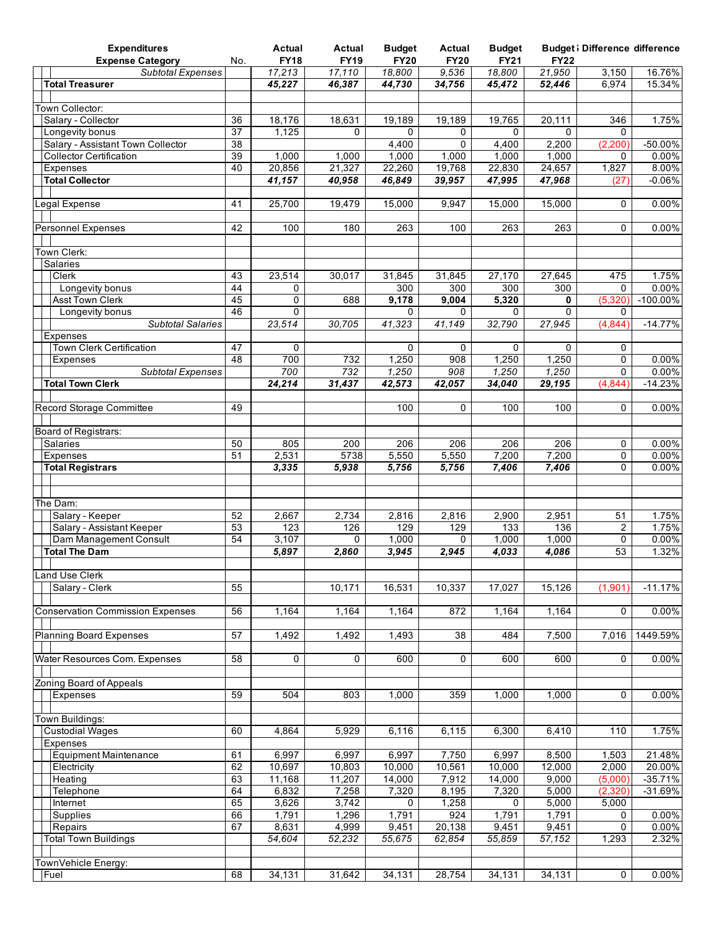| <b>Expenditures</b>                                |                 | Actual           | Actual      | <b>Budget</b> | Actual      | <b>Budget</b> |                  | <b>Budget</b> ; Difference difference |                  |
|----------------------------------------------------|-----------------|------------------|-------------|---------------|-------------|---------------|------------------|---------------------------------------|------------------|
| <b>Expense Category</b>                            | No.             | <b>FY18</b>      | <b>FY19</b> | <b>FY20</b>   | <b>FY20</b> | <b>FY21</b>   | <b>FY22</b>      |                                       |                  |
| <b>Subtotal Expenses</b><br><b>Total Treasurer</b> |                 | 17,213<br>45,227 | 17,110      | 18,800        | 9,536       | 18,800        | 21,950<br>52,446 | 3,150<br>6,974                        | 16.76%<br>15.34% |
|                                                    |                 |                  | 46,387      | 44,730        | 34,756      | 45,472        |                  |                                       |                  |
| <b>Town Collector:</b>                             |                 |                  |             |               |             |               |                  |                                       |                  |
| Salary - Collector                                 | 36              | 18,176           | 18,631      | 19,189        | 19.189      | 19,765        | 20,111           | 346                                   | 1.75%            |
| Longevity bonus                                    | 37              | 1,125            | $\Omega$    | 0             | 0           | $\Omega$      | $\Omega$         | $\mathbf{0}$                          |                  |
| Salary - Assistant Town Collector                  | $\overline{38}$ |                  |             | 4,400         | $\Omega$    | 4,400         | 2,200            | (2, 200)                              | $-50.00%$        |
| <b>Collector Certification</b>                     | 39              | 1,000            | 1,000       | 1,000         | 1,000       | 1,000         | 1,000            | $\Omega$                              | 0.00%            |
| Expenses                                           | 40              | 20,856           | 21,327      | 22,260        | 19,768      | 22,830        | 24,657           | 1,827                                 | 8.00%            |
| <b>Total Collector</b>                             |                 | 41,157           | 40,958      | 46,849        | 39,957      | 47,995        | 47,968           | (27                                   | $-0.06%$         |
|                                                    |                 |                  |             |               |             |               |                  |                                       |                  |
| Legal Expense                                      | 41              | 25,700           | 19,479      | 15,000        | 9,947       | 15,000        | 15,000           | 0                                     | $0.00\%$         |
|                                                    |                 |                  |             |               |             |               |                  |                                       |                  |
| <b>Personnel Expenses</b>                          | 42              | 100              | 180         | 263           | 100         | 263           | 263              | $\mathbf 0$                           | 0.00%            |
|                                                    |                 |                  |             |               |             |               |                  |                                       |                  |
| Town Clerk:                                        |                 |                  |             |               |             |               |                  |                                       |                  |
| Salaries                                           |                 |                  |             |               |             |               |                  |                                       |                  |
| Clerk                                              | 43              | 23,514           | 30,017      | 31,845        | 31,845      | 27,170        | 27,645           | 475                                   | 1.75%            |
| Longevity bonus                                    | 44              | 0                |             | 300           | 300         | 300           | 300              | 0                                     | $0.00\%$         |
| <b>Asst Town Clerk</b>                             | 45              | 0                | 688         | 9,178         | 9,004       | 5,320         | 0                | (5, 320)                              | $-100.00\%$      |
| Longevity bonus                                    | 46              | 0                |             | 0             | $\mathbf 0$ | $\Omega$      | $\mathbf 0$      | 0                                     |                  |
| <b>Subtotal Salaries</b>                           |                 | 23,514           | 30,705      | 41,323        | 41,149      | 32,790        | 27,945           | (4,844)                               | $-14.77%$        |
| Expenses                                           |                 |                  |             |               |             |               |                  |                                       |                  |
| Town Clerk Certification                           | 47              | 0                |             | $\Omega$      | 0           | $\Omega$      | $\Omega$         | 0                                     |                  |
| Expenses                                           | 48              | 700              | 732         | 1,250         | 908         | 1,250         | 1,250            | 0                                     | $0.00\%$         |
| <b>Subtotal Expenses</b>                           |                 | 700              | 732         | 1,250         | 908         | 1,250         | 1,250            | 0                                     | $0.00\%$         |
| <b>Total Town Clerk</b>                            |                 | 24,214           | 31,437      | 42,573        | 42,057      | 34,040        | 29,195           | (4,844)                               | $-14.23%$        |
|                                                    |                 |                  |             |               |             |               |                  |                                       |                  |
| Record Storage Committee                           | 49              |                  |             | 100           | 0           | 100           | 100              | $\mathbf 0$                           | 0.00%            |
|                                                    |                 |                  |             |               |             |               |                  |                                       |                  |
| Board of Registrars:                               |                 |                  |             |               |             |               |                  |                                       |                  |
| <b>Salaries</b>                                    | 50              | 805              | 200         | 206           | 206         | 206           | 206              | 0                                     | 0.00%            |
| Expenses                                           | 51              | 2,531            | 5738        | 5,550         | 5,550       | 7,200         | 7,200            | 0                                     | $0.00\%$         |
| <b>Total Registrars</b>                            |                 | 3,335            | 5,938       | 5,756         | 5,756       | 7,406         | 7,406            | 0                                     | 0.00%            |
|                                                    |                 |                  |             |               |             |               |                  |                                       |                  |
|                                                    |                 |                  |             |               |             |               |                  |                                       |                  |
| The Dam:                                           |                 |                  |             |               |             |               |                  |                                       |                  |
| Salary - Keeper                                    | 52              | 2,667            | 2,734       | 2,816         | 2,816       | 2,900         | 2,951            | 51                                    | 1.75%            |
| Salary - Assistant Keeper                          | 53              | 123              | 126         | 129           | 129         | 133           | 136              | 2                                     | 1.75%            |
| Dam Management Consult                             | 54              | 3,107            | 0           | 1,000         | $\Omega$    | 1,000         | 1,000            | 0                                     | $0.00\%$         |
| <b>Total The Dam</b>                               |                 | 5,897            | 2,860       | 3,945         | 2,945       | 4,033         | 4,086            | 53                                    | 1.32%            |
|                                                    |                 |                  |             |               |             |               |                  |                                       |                  |
| <b>Land Use Clerk</b>                              |                 |                  |             |               |             |               |                  |                                       |                  |
| Salary - Clerk                                     | 55              |                  | 10,171      | 16,531        | 10,337      | 17.027        | 15,126           | (1,901)                               | $-11.17%$        |
|                                                    |                 |                  |             |               |             |               |                  |                                       |                  |
| <b>Conservation Commission Expenses</b>            | 56              | 1,164            | 1,164       | 1,164         | 872         | 1,164         | 1,164            | 0                                     | $0.00\%$         |
|                                                    |                 |                  |             |               |             |               |                  |                                       |                  |
| <b>Planning Board Expenses</b>                     | 57              | 1,492            | 1,492       | 1,493         | 38          | 484           | 7,500            | 7,016                                 | 1449.59%         |
|                                                    |                 |                  |             |               |             |               |                  |                                       |                  |
| Water Resources Com. Expenses                      | 58              | 0                | 0           | 600           | 0           | 600           | 600              | 0                                     | 0.00%            |
|                                                    |                 |                  |             |               |             |               |                  |                                       |                  |
| <b>Zoning Board of Appeals</b>                     |                 |                  |             |               |             |               |                  |                                       |                  |
| Expenses                                           | 59              | 504              | 803         | 1,000         | 359         | 1,000         | 1,000            | 0                                     | $0.00\%$         |
|                                                    |                 |                  |             |               |             |               |                  |                                       |                  |
| Town Buildinas:                                    |                 |                  |             |               |             |               |                  |                                       |                  |
| <b>Custodial Wages</b>                             | 60              | 4,864            | 5,929       | 6,116         | 6,115       | 6,300         | 6,410            | 110                                   | 1.75%            |
| <b>Expenses</b>                                    |                 |                  |             |               |             |               |                  |                                       |                  |
| <b>Equipment Maintenance</b>                       | 61              | 6,997            | 6,997       | 6,997         | 7,750       | 6,997         | 8,500            | 1,503                                 | 21.48%           |
| Electricity                                        | 62              | 10,697           | 10,803      | 10,000        | 10,561      | 10,000        | 12,000           | 2,000                                 | 20.00%           |
| Heating                                            | 63              | 11,168           | 11,207      | 14,000        | 7,912       | 14,000        | 9,000            | (5,000)                               | $-35.71%$        |
| Telephone                                          | 64              | 6,832            | 7,258       | 7,320         | 8,195       | 7,320         | 5,000            | (2,320)                               | $-31.69%$        |
| Internet                                           | 65              | 3,626            | 3,742       | 0             | 1,258       | 0             | 5,000            | 5,000                                 |                  |
| Supplies                                           | 66              | 1,791            | 1,296       | 1,791         | 924         | 1,791         | 1,791            | 0                                     | 0.00%            |
| Repairs                                            | 67              | 8,631            | 4,999       | 9,451         | 20,138      | 9,451         | 9,451            | $\mathbf{0}$                          | 0.00%            |
| <b>Total Town Buildings</b>                        |                 | 54,604           | 52,232      | 55,675        | 62,854      | 55,859        | 57,152           | 1,293                                 | 2.32%            |
|                                                    |                 |                  |             |               |             |               |                  |                                       |                  |
| TownVehicle Energy:                                |                 |                  |             |               |             |               |                  |                                       |                  |
| Fuel                                               | 68              | 34,131           | 31,642      | 34,131        | 28,754      | 34,131        | 34,131           | 0                                     | 0.00%            |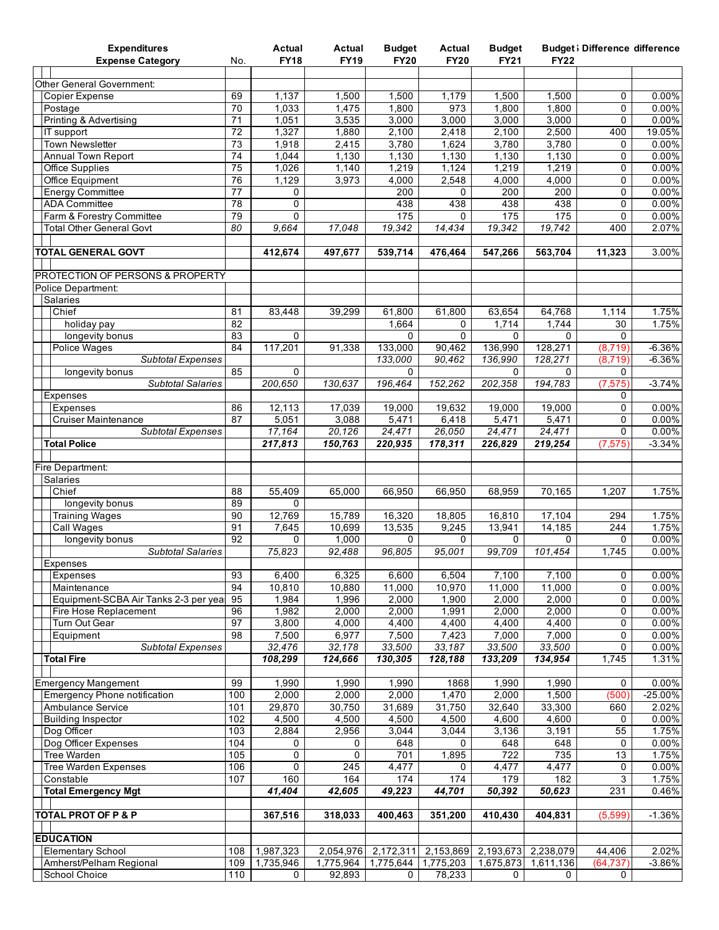| <b>Expenditures</b><br><b>Expense Category</b>             | No.             | Actual<br><b>FY18</b> | Actual<br><b>FY19</b> | <b>Budget</b><br><b>FY20</b> | Actual<br><b>FY20</b>  | <b>Budget</b><br><b>FY21</b> | <b>FY22</b>     | <b>Budget</b> ; Difference difference |                       |
|------------------------------------------------------------|-----------------|-----------------------|-----------------------|------------------------------|------------------------|------------------------------|-----------------|---------------------------------------|-----------------------|
|                                                            |                 |                       |                       |                              |                        |                              |                 |                                       |                       |
| <b>Other General Government:</b>                           |                 |                       |                       |                              |                        |                              |                 |                                       |                       |
| <b>Copier Expense</b>                                      | 69              | 1,137                 | 1,500                 | 1,500                        | 1,179                  | 1,500                        | 1,500           | 0                                     | $0.00\%$              |
| Postage                                                    | 70              | 1,033                 | 1,475                 | 1,800                        | 973                    | 1,800                        | 1,800           | 0                                     | 0.00%                 |
| Printing & Advertising<br>IT support                       | 71<br>72        | 1,051<br>1,327        | 3,535<br>1,880        | 3,000<br>2,100               | 3,000<br>2,418         | 3,000<br>2,100               | 3,000<br>2,500  | 0<br>400                              | 0.00%<br>19.05%       |
| <b>Town Newsletter</b>                                     | 73              | 1,918                 | 2,415                 | 3,780                        | 1,624                  | 3,780                        | 3,780           | 0                                     | 0.00%                 |
| Annual Town Report                                         | 74              | 1,044                 | 1,130                 | 1,130                        | 1,130                  | 1,130                        | 1,130           | 0                                     | 0.00%                 |
| Office Supplies                                            | 75              | 1,026                 | 1,140                 | 1,219                        | 1,124                  | 1,219                        | 1,219           | 0                                     | 0.00%                 |
| Office Equipment                                           | 76              | 1,129                 | 3,973                 | 4,000                        | 2,548                  | 4,000                        | 4,000           | 0                                     | $0.00\%$              |
| <b>Energy Committee</b>                                    | 77              | 0                     |                       | 200                          | 0                      | 200                          | 200             | 0                                     | 0.00%                 |
| <b>ADA Committee</b><br>Farm & Forestry Committee          | 78<br>79        | $\overline{0}$<br>0   |                       | 438<br>175                   | 438<br>0               | 438<br>175                   | 438<br>175      | 0<br>0                                | 0.00%<br>$0.00\%$     |
| <b>Total Other General Govt</b>                            | 80              | 9,664                 | 17,048                | 19,342                       | 14,434                 | 19,342                       | 19,742          | 400                                   | 2.07%                 |
|                                                            |                 |                       |                       |                              |                        |                              |                 |                                       |                       |
| <b>TOTAL GENERAL GOVT</b>                                  |                 | 412,674               | 497,677               | 539,714                      | 476,464                | 547,266                      | 563,704         | 11,323                                | 3.00%                 |
|                                                            |                 |                       |                       |                              |                        |                              |                 |                                       |                       |
| PROTECTION OF PERSONS & PROPERTY                           |                 |                       |                       |                              |                        |                              |                 |                                       |                       |
| Police Department:<br>Salaries                             |                 |                       |                       |                              |                        |                              |                 |                                       |                       |
| Chief                                                      | 81              | 83,448                | 39,299                | 61,800                       | 61,800                 | 63,654                       | 64,768          | 1,114                                 | 1.75%                 |
| holiday pay                                                | 82              |                       |                       | 1,664                        | 0                      | 1,714                        | 1,744           | 30                                    | 1.75%                 |
| longevity bonus                                            | 83              | $\mathbf 0$           |                       | 0                            | $\Omega$               | $\Omega$                     | $\Omega$        | $\Omega$                              |                       |
| Police Wages                                               | 84              | 117,201               | 91,338                | 133,000                      | 90,462                 | 136,990                      | 128,271         | (8, 719)                              | $-6.36%$              |
| <b>Subtotal Expenses</b>                                   |                 |                       |                       | 133,000                      | 90,462                 | 136,990                      | 128,271         | (8,719)                               | $-6.36%$              |
| longevity bonus                                            | 85              | $\Omega$              |                       | 0                            |                        | 0                            | $\Omega$        | $\mathbf 0$                           |                       |
| <b>Subtotal Salaries</b>                                   |                 | 200,650               | 130,637               | 196,464                      | 152,262                | 202,358                      | 194,783         | (7, 575)                              | $-3.74%$              |
| <b>Expenses</b><br>Expenses                                | 86              | 12,113                | 17,039                | 19,000                       | 19,632                 | 19,000                       | 19,000          | 0<br>0                                | 0.00%                 |
| <b>Cruiser Maintenance</b>                                 | 87              | 5,051                 | 3,088                 | 5,471                        | 6,418                  | 5,471                        | 5,471           | 0                                     | $0.00\%$              |
| <b>Subtotal Expenses</b>                                   |                 | 17,164                | 20,126                | 24,471                       | 26,050                 | 24,471                       | 24,471          | 0                                     | $0.00\%$              |
| <b>Total Police</b>                                        |                 | 217,813               | 150,763               | 220,935                      | 178,311                | 226,829                      | 219,254         | (7, 575)                              | $-3.34%$              |
|                                                            |                 |                       |                       |                              |                        |                              |                 |                                       |                       |
| Fire Department:                                           |                 |                       |                       |                              |                        |                              |                 |                                       |                       |
| Salaries                                                   |                 |                       |                       |                              |                        |                              |                 |                                       |                       |
| Chief<br>longevity bonus                                   | 88<br>89        | 55,409<br>0           | 65,000                | 66,950                       | 66,950                 | 68,959                       | 70,165          | 1,207                                 | 1.75%                 |
| <b>Training Wages</b>                                      | 90              | 12,769                | 15,789                | 16,320                       | 18,805                 | 16,810                       | 17,104          | 294                                   | 1.75%                 |
| <b>Call Wages</b>                                          | 91              | 7,645                 | 10,699                | 13,535                       | 9,245                  | 13,941                       | 14,185          | 244                                   | 1.75%                 |
| longevity bonus                                            | 92              | $\Omega$              | 1,000                 | 0                            | 0                      | $\Omega$                     | $\Omega$        | $\Omega$                              | $0.00\%$              |
| <b>Subtotal Salaries</b>                                   |                 | 75,823                | 92,488                | 96,805                       | 95,001                 | 99,709                       | 101,454         | 1,745                                 | 0.00%                 |
| <b>Expenses</b>                                            |                 |                       |                       |                              |                        |                              |                 |                                       |                       |
| Expenses                                                   | 93              | 6,400                 | 6,325                 | 6,600                        | 6,504                  | 7,100                        | 7,100           | 0                                     | 0.00%                 |
| Maintenance<br>Equipment-SCBA Air Tanks 2-3 per yea        | 94<br>95        | 10,810<br>1,984       | 10,880<br>1,996       | 11,000<br>2,000              | 10,970<br>1,900        | 11,000<br>2,000              | 11,000<br>2,000 | 0<br>0                                | 0.00%<br>0.00%        |
| Fire Hose Replacement                                      | 96              | 1,982                 | 2,000                 | 2,000                        | 1,991                  | 2,000                        | 2,000           | 0                                     | $0.00\%$              |
| Turn Out Gear                                              | $\overline{97}$ | 3,800                 | 4,000                 | 4,400                        | 4,400                  | 4,400                        | 4,400           | 0                                     | $0.00\%$              |
| Equipment                                                  | 98              | 7,500                 | 6,977                 | 7,500                        | 7,423                  | 7,000                        | 7,000           | 0                                     | 0.00%                 |
| <b>Subtotal Expenses</b>                                   |                 | 32,476                | 32,178                | 33,500                       | 33,187                 | 33,500                       | 33,500          | 0                                     | $0.00\%$              |
| <b>Total Fire</b>                                          |                 | 108,299               | 124,666               | 130,305                      | 128,188                | 133,209                      | 134,954         | 1,745                                 | 1.31%                 |
|                                                            |                 |                       |                       |                              |                        |                              |                 |                                       |                       |
| <b>Emergency Mangement</b><br>Emergency Phone notification | 99<br>100       | 1,990<br>2,000        | 1,990<br>2,000        | 1,990<br>2,000               | 1868<br>1,470          | 1,990<br>2,000               | 1,990<br>1,500  | 0<br>(500)                            | $0.00\%$<br>$-25.00%$ |
| Ambulance Service                                          | 101             | 29,870                | 30,750                | 31,689                       | 31,750                 | 32,640                       | 33,300          | 660                                   | 2.02%                 |
| <b>Building Inspector</b>                                  | 102             | 4,500                 | 4,500                 | 4,500                        | 4,500                  | 4,600                        | 4,600           | 0                                     | 0.00%                 |
| Dog Officer                                                | 103             | 2,884                 | 2,956                 | 3,044                        | 3,044                  | 3,136                        | 3,191           | 55                                    | 1.75%                 |
| Dog Officer Expenses                                       | 104             | $\mathbf 0$           | 0                     | 648                          | 0                      | 648                          | 648             | 0                                     | 0.00%                 |
| <b>Tree Warden</b>                                         | 105             | $\mathbf 0$           | 0                     | 701                          | 1,895                  | 722                          | 735             | 13                                    | 1.75%                 |
| <b>Tree Warden Expenses</b>                                | 106             | $\mathsf{O}\xspace$   | 245                   | 4,477                        | 0                      | 4,477                        | 4,477           | 0                                     | 0.00%                 |
| Constable<br><b>Total Emergency Mgt</b>                    | 107             | 160<br>41,404         | 164<br>42,605         | 174<br>49,223                | 174<br>44,701          | 179<br>50,392                | 182<br>50,623   | 3<br>231                              | 1.75%<br>0.46%        |
|                                                            |                 |                       |                       |                              |                        |                              |                 |                                       |                       |
| <b>TOTAL PROT OF P &amp; P</b>                             |                 | 367,516               | 318,033               | 400,463                      | 351,200                | 410,430                      | 404,831         | (5,599)                               | $-1.36%$              |
|                                                            |                 |                       |                       |                              |                        |                              |                 |                                       |                       |
| <b>EDUCATION</b>                                           |                 |                       |                       |                              |                        |                              |                 |                                       |                       |
| <b>Elementary School</b>                                   | 108             | 1,987,323             | 2,054,976             | 2,172,311                    | 2,153,869<br>1,775,203 | 2,193,673                    | 2,238,079       | 44,406                                | 2.02%                 |
| Amherst/Pelham Regional<br>School Choice                   | 109<br>110      | 1,735,946<br>0        | 1,775,964<br>92,893   | 1,775,644<br>0               | 78,233                 | 1,675,873<br>0               | 1,611,136<br>0  | (64, 737)<br>0                        | $-3.86%$              |
|                                                            |                 |                       |                       |                              |                        |                              |                 |                                       |                       |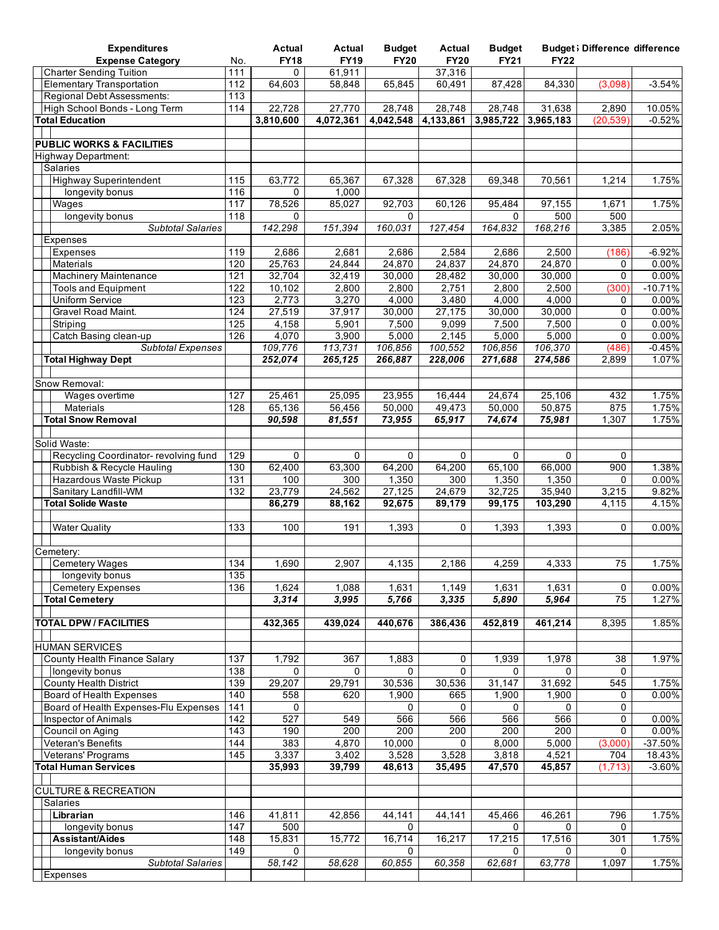| <b>Expenditures</b>                                   |                        | Actual           | <b>Actual</b>      | <b>Budget</b>       | Actual             | <b>Budget</b>      |                    | <b>Budget</b> ; Difference difference |                   |
|-------------------------------------------------------|------------------------|------------------|--------------------|---------------------|--------------------|--------------------|--------------------|---------------------------------------|-------------------|
| <b>Expense Category</b>                               | No.                    | <b>FY18</b>      | <b>FY19</b>        | <b>FY20</b>         | <b>FY20</b>        | <b>FY21</b>        | <b>FY22</b>        |                                       |                   |
| <b>Charter Sending Tuition</b>                        | 111                    | 0                | 61,911             |                     | 37,316             |                    |                    |                                       |                   |
| <b>Elementary Transportation</b>                      | 112                    | 64,603           | 58,848             | 65,845              | 60,491             | 87,428             | 84,330             | (3,098)                               | $-3.54%$          |
| Regional Debt Assessments:                            | 113                    |                  |                    |                     |                    |                    |                    |                                       |                   |
| High School Bonds - Long Term                         | 114                    | 22,728           | 27,770             | 28,748<br>4,042,548 | 28,748             | 28,748             | 31,638             | 2,890                                 | 10.05%            |
| <b>Total Education</b>                                |                        | 3,810,600        | 4,072,361          |                     | 4,133,861          | 3,985,722          | 3,965,183          | (20, 539)                             | $-0.52%$          |
| <b>PUBLIC WORKS &amp; FACILITIES</b>                  |                        |                  |                    |                     |                    |                    |                    |                                       |                   |
| <b>Highway Department:</b>                            |                        |                  |                    |                     |                    |                    |                    |                                       |                   |
| Salaries                                              |                        |                  |                    |                     |                    |                    |                    |                                       |                   |
| <b>Highway Superintendent</b>                         | 115                    | 63,772           | 65,367             | 67,328              | 67,328             | 69,348             | 70,561             | 1,214                                 | 1.75%             |
| longevity bonus                                       | 116                    | 0                | 1,000              |                     |                    |                    |                    |                                       |                   |
| Wages                                                 | 117                    | 78,526           | 85,027             | 92,703              | 60,126             | 95,484             | 97,155             | 1,671                                 | 1.75%             |
| longevity bonus                                       | 118                    | $\mathbf{0}$     |                    | $\Omega$            |                    | $\Omega$           | 500                | 500                                   |                   |
| <b>Subtotal Salaries</b>                              |                        | 142,298          | 151,394            | 160,031             | 127,454            | 164,832            | 168,216            | 3,385                                 | 2.05%             |
| Expenses                                              |                        |                  |                    |                     |                    |                    |                    |                                       |                   |
| Expenses                                              | 119                    | 2,686            | 2,681              | 2,686               | 2,584              | 2,686              | 2,500              | (186)                                 | $-6.92%$          |
| Materials                                             | 120                    | 25,763           | 24,844             | 24,870              | 24,837             | 24,870             | 24,870             | 0                                     | 0.00%             |
| Machinery Maintenance                                 | 121                    | 32,704           | 32,419             | 30,000              | 28,482             | 30,000             | 30,000             | $\mathbf{0}$                          | 0.00%             |
| <b>Tools and Equipment</b>                            | 122                    | 10,102           | 2,800              | 2,800               | 2,751              | 2,800              | 2,500              | (300)                                 | $-10.71%$         |
| <b>Uniform Service</b>                                | 123                    | 2,773            | 3,270              | 4,000               | 3,480              | 4,000              | 4,000              | $\mathbf 0$                           | 0.00%             |
| Gravel Road Maint.                                    | 124                    | 27,519           | 37,917             | 30,000              | 27,175             | 30,000             | 30,000             | $\mathbf 0$                           | 0.00%             |
| Striping                                              | 125                    | 4,158            | 5,901              | 7,500               | 9,099              | 7,500              | 7,500              | 0                                     | 0.00%             |
| Catch Basing clean-up                                 | 126                    | 4,070<br>109,776 | 3,900              | 5,000               | 2,145              | 5,000              | 5,000              | $\Omega$                              | 0.00%             |
| <b>Subtotal Expenses</b><br><b>Total Highway Dept</b> |                        | 252,074          | 113,731<br>265,125 | 106,856<br>266,887  | 100,552<br>228,006 | 106,856<br>271,688 | 106,370<br>274,586 | (486)<br>2,899                        | $-0.45%$<br>1.07% |
|                                                       |                        |                  |                    |                     |                    |                    |                    |                                       |                   |
| Snow Removal:                                         |                        |                  |                    |                     |                    |                    |                    |                                       |                   |
| Wages overtime                                        | 127                    | 25,461           | 25,095             | 23,955              | 16,444             | 24,674             | 25,106             | 432                                   | 1.75%             |
| Materials                                             | 128                    | 65,136           | 56,456             | 50,000              | 49,473             | 50,000             | 50,875             | 875                                   | 1.75%             |
| <b>Total Snow Removal</b>                             |                        | 90,598           | 81,551             | 73,955              | 65,917             | 74,674             | 75,981             | 1,307                                 | 1.75%             |
|                                                       |                        |                  |                    |                     |                    |                    |                    |                                       |                   |
| Solid Waste:                                          |                        |                  |                    |                     |                    |                    |                    |                                       |                   |
| Recycling Coordinator- revolving fund                 | 129                    | $\mathbf 0$      | 0                  | 0                   | 0                  | $\mathbf 0$        | $\mathbf 0$        | $\mathbf{0}$                          |                   |
| Rubbish & Recycle Hauling                             | 130                    | 62,400           | 63,300             | 64,200              | 64,200             | 65,100             | 66,000             | 900                                   | 1.38%             |
| Hazardous Waste Pickup                                | $\overline{131}$       | 100              | 300                | 1,350               | 300                | 1,350              | 1,350              | 0                                     | $0.00\%$          |
| Sanitary Landfill-WM                                  | 132                    | 23,779           | 24,562             | 27,125              | 24,679             | 32,725             | 35,940             | 3,215                                 | 9.82%             |
| <b>Total Solide Waste</b>                             |                        | 86,279           | 88,162             | 92,675              | 89,179             | 99,175             | 103,290            | 4,115                                 | 4.15%             |
|                                                       |                        |                  |                    |                     |                    |                    |                    |                                       |                   |
| <b>Water Quality</b>                                  | 133                    | 100              | 191                | 1,393               | 0                  | 1,393              | 1,393              | $\mathbf 0$                           | 0.00%             |
| Cemetery:                                             |                        |                  |                    |                     |                    |                    |                    |                                       |                   |
| <b>Cemetery Wages</b>                                 | $\overline{134}$       | 1,690            | 2,907              | 4,135               | 2,186              | 4,259              | 4,333              | 75                                    | 1.75%             |
| longevity bonus                                       | 135                    |                  |                    |                     |                    |                    |                    |                                       |                   |
| <b>Cemetery Expenses</b>                              | 136                    | 1,624            | 1,088              | 1,631               | 1,149              | 1,631              | 1,631              | 0                                     | 0.00%             |
| <b>Total Cemetery</b>                                 |                        | 3,314            | 3,995              | 5,766               | 3,335              | 5,890              | 5,964              | 75                                    | 1.27%             |
|                                                       |                        |                  |                    |                     |                    |                    |                    |                                       |                   |
| <b>TOTAL DPW / FACILITIES</b>                         |                        | 432,365          | 439,024            | 440,676             | 386,436            | 452,819            | 461,214            | 8,395                                 | 1.85%             |
|                                                       |                        |                  |                    |                     |                    |                    |                    |                                       |                   |
| <b>HUMAN SERVICES</b>                                 |                        |                  |                    |                     |                    |                    |                    |                                       |                   |
| County Health Finance Salary                          | 137                    | 1,792            | 367                | 1,883               | 0                  | 1,939              | 1,978              | 38                                    | 1.97%             |
| longevity bonus                                       | 138                    | 0                | 0                  | 0                   | 0                  | 0                  | 0                  | $\mathbf{0}$                          |                   |
| <b>County Health District</b>                         | 139                    | 29,207           | 29,791             | 30,536              | 30,536             | 31,147             | 31,692             | 545                                   | 1.75%             |
| Board of Health Expenses                              | 140                    | 558              | 620                | 1,900               | 665                | 1,900              | 1,900              | 0                                     | 0.00%             |
| Board of Health Expenses-Flu Expenses                 | 141                    | 0                |                    | 0                   | 0                  | 0                  | 0                  | 0                                     |                   |
| <b>Inspector of Animals</b>                           | $\frac{1}{142}$<br>143 | 527<br>190       | 549<br>200         | 566<br>200          | 566<br>200         | 566<br>200         | 566<br>200         | 0<br>$\Omega$                         | 0.00%<br>0.00%    |
| Council on Aging<br><b>Veteran's Benefits</b>         | 144                    | 383              | 4,870              | 10,000              | 0                  | 8,000              | 5,000              | (3,000)                               | $-37.50%$         |
| Veterans' Programs                                    | 145                    | 3,337            | 3,402              | 3,528               | 3,528              | 3,818              | 4,521              | 704                                   | 18.43%            |
| <b>Total Human Services</b>                           |                        | 35,993           | 39,799             | 48,613              | 35,495             | 47,570             | 45,857             | (1,713)                               | $-3.60%$          |
|                                                       |                        |                  |                    |                     |                    |                    |                    |                                       |                   |
| <b>CULTURE &amp; RECREATION</b>                       |                        |                  |                    |                     |                    |                    |                    |                                       |                   |
| Salaries                                              |                        |                  |                    |                     |                    |                    |                    |                                       |                   |
| Librarian                                             | 146                    | 41,811           | 42,856             | 44,141              | 44,141             | 45,466             | 46,261             | 796                                   | 1.75%             |
| longevity bonus                                       | 147                    | 500              |                    | 0                   |                    | 0                  | 0                  | 0                                     |                   |
| <b>Assistant/Aides</b>                                | 148                    | 15,831           | 15,772             | 16,714              | 16,217             | 17,215             | 17,516             | 301                                   | 1.75%             |
| longevity bonus                                       | 149                    | 0                |                    | 0                   |                    | $\Omega$           | $\Omega$           | $\Omega$                              |                   |
| <b>Subtotal Salaries</b>                              |                        | 58,142           | 58,628             | 60,855              | 60,358             | 62,681             | 63,778             | 1,097                                 | 1.75%             |
| Expenses                                              |                        |                  |                    |                     |                    |                    |                    |                                       |                   |